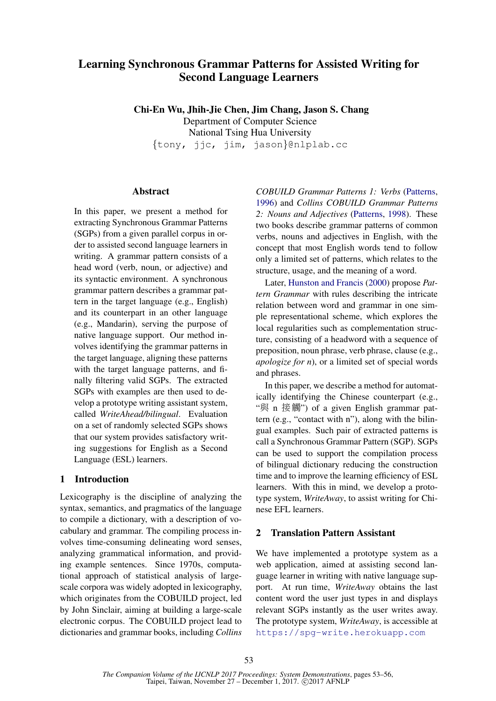# Learning Synchronous Grammar Patterns for Assisted Writing for Second Language Learners

Chi-En Wu, Jhih-Jie Chen, Jim Chang, Jason S. Chang Department of Computer Science National Tsing Hua University {tony, jjc, jim, jason}@nlplab.cc

# **Abstract**

In this paper, we present a method for extracting Synchronous Grammar Patterns (SGPs) from a given parallel corpus in order to assisted second language learners in writing. A grammar pattern consists of a head word (verb, noun, or adjective) and its syntactic environment. A synchronous grammar pattern describes a grammar pattern in the target language (e.g., English) and its counterpart in an other language (e.g., Mandarin), serving the purpose of native language support. Our method involves identifying the grammar patterns in the target language, aligning these patterns with the target language patterns, and finally filtering valid SGPs. The extracted SGPs with examples are then used to develop a prototype writing assistant system, called *WriteAhead/bilingual*. Evaluation on a set of randomly selected SGPs shows that our system provides satisfactory writing suggestions for English as a Second Language (ESL) learners.

# 1 Introduction

Lexicography is the discipline of analyzing the syntax, semantics, and pragmatics of the language to compile a dictionary, with a description of vocabulary and grammar. The compiling process involves time-consuming delineating word senses, analyzing grammatical information, and providing example sentences. Since 1970s, computational approach of statistical analysis of largescale corpora was widely adopted in lexicography, which originates from the COBUILD project, led by John Sinclair, aiming at building a large-scale electronic corpus. The COBUILD project lead to dictionaries and grammar books, including *Collins*

*COBUILD Grammar Patterns 1: Verbs* (Patterns, 1996) and *Collins COBUILD Grammar Patterns 2: Nouns and Adjectives* (Patterns, 1998). These two books describe grammar patterns of common verbs, nouns and adjectives in English, with the concept that most English words tend to follow only a limited set of patterns, which relates to the structure, usage, and the meaning of a word.

Later, Hunston and Francis (2000) propose *Pattern Grammar* with rules describing the intricate relation between word and grammar in one simple representational scheme, which explores the local regularities such as complementation structure, consisting of a headword with a sequence of preposition, noun phrase, verb phrase, clause (e.g., *apologize for n*), or a limited set of special words and phrases.

In this paper, we describe a method for automatically identifying the Chinese counterpart (e.g., "<sup>與</sup> <sup>n</sup> <sup>接</sup>觸") of a given English grammar pattern (e.g., "contact with n"), along with the bilingual examples. Such pair of extracted patterns is call a Synchronous Grammar Pattern (SGP). SGPs can be used to support the compilation process of bilingual dictionary reducing the construction time and to improve the learning efficiency of ESL learners. With this in mind, we develop a prototype system, *WriteAway*, to assist writing for Chinese EFL learners.

# 2 Translation Pattern Assistant

We have implemented a prototype system as a web application, aimed at assisting second language learner in writing with native language support. At run time, *WriteAway* obtains the last content word the user just types in and displays relevant SGPs instantly as the user writes away. The prototype system, *WriteAway*, is accessible at https://spg-write.herokuapp.com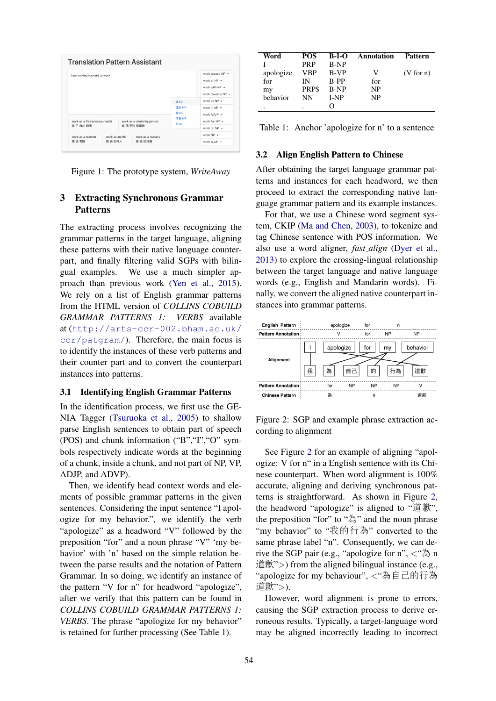

Figure 1: The prototype system, *WriteAway*

# 3 Extracting Synchronous Grammar Patterns

The extracting process involves recognizing the grammar patterns in the target language, aligning these patterns with their native language counterpart, and finally filtering valid SGPs with bilingual examples. We use a much simpler approach than previous work (Yen et al., 2015). We rely on a list of English grammar patterns from the HTML version of *COLLINS COBUILD GRAMMAR PATTERNS 1: VERBS* available at (http://arts-ccr-002.bham.ac.uk/ ccr/patgram/). Therefore, the main focus is to identify the instances of these verb patterns and their counter part and to convert the counterpart instances into patterns.

#### 3.1 Identifying English Grammar Patterns

In the identification process, we first use the GE-NIA Tagger (Tsuruoka et al., 2005) to shallow parse English sentences to obtain part of speech (POS) and chunk information ("B","I","O" symbols respectively indicate words at the beginning of a chunk, inside a chunk, and not part of NP, VP, ADJP, and ADVP).

Then, we identify head context words and elements of possible grammar patterns in the given sentences. Considering the input sentence "I apologize for my behavior.", we identify the verb "apologize" as a headword "V" followed by the preposition "for" and a noun phrase "V" 'my behavior' with 'n' based on the simple relation between the parse results and the notation of Pattern Grammar. In so doing, we identify an instance of the pattern "V for n" for headword "apologize", after we verify that this pattern can be found in *COLLINS COBUILD GRAMMAR PATTERNS 1: VERBS*. The phrase "apologize for my behavior" is retained for further processing (See Table 1).

| Word      | <b>POS</b>  | $B-I-O$     | Annotation | <b>Pattern</b> |
|-----------|-------------|-------------|------------|----------------|
|           | <b>PRP</b>  | <b>B-NP</b> |            |                |
| apologize | VBP         | B-VP        | V          | (V for n)      |
| for       | IN          | <b>B-PP</b> | for        |                |
| my        | <b>PRPS</b> | <b>B-NP</b> | <b>NP</b>  |                |
| behavior  | NN          | <b>I-NP</b> | <b>NP</b>  |                |
|           | ٠           |             |            |                |

Table 1: Anchor 'apologize for n' to a sentence

#### 3.2 Align English Pattern to Chinese

After obtaining the target language grammar patterns and instances for each headword, we then proceed to extract the corresponding native language grammar pattern and its example instances.

For that, we use a Chinese word segment system, CKIP (Ma and Chen, 2003), to tokenize and tag Chinese sentence with POS information. We also use a word aligner, *fast align* (Dyer et al., 2013) to explore the crossing-lingual relationship between the target language and native language words (e.g., English and Mandarin words). Finally, we convert the aligned native counterpart instances into grammar patterns.



Figure 2: SGP and example phrase extraction according to alignment

See Figure 2 for an example of aligning "apologize: V for n" in a English sentence with its Chinese counterpart. When word alignment is 100% accurate, aligning and deriving synchronous patterns is straightforward. As shown in Figure 2, the headword "apologize" is aligned to "道歉", the preposition "for" to "為" and the noun phrase "my behavior" to "我的行為" converted to the same phrase label "n". Consequently, we can derive the SGP pair (e.g., "apologize for n",  $\lt$ " $\triangleq$  n  $\langle \hat{E} \hat{F} \hat{F} \rangle$  from the aligned bilingual instance (e.g., "apologize for my behaviour", <sup>&</sup>lt;"為自己的行<sup>為</sup> <sup>道</sup>歉">).

However, word alignment is prone to errors, causing the SGP extraction process to derive erroneous results. Typically, a target-language word may be aligned incorrectly leading to incorrect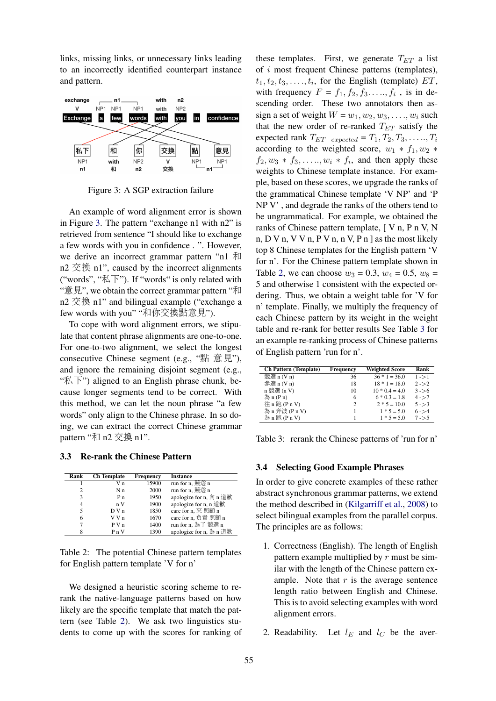links, missing links, or unnecessary links leading to an incorrectly identified counterpart instance and pattern.



Figure 3: A SGP extraction failure

An example of word alignment error is shown in Figure 3. The pattern "exchange n1 with n2" is retrieved from sentence "I should like to exchange a few words with you in confidence . ". However, we derive an incorrect grammar pattern "n1 和 n2 交換 n1", caused by the incorrect alignments ("words", " $\overline{\mathbb{R}}$ ). If "words" is only related with "意見", we obtain the correct grammar pattern "<sup>和</sup> n2 交換 n1" and bilingual example ("exchange a few words with you" "和你交換點意見").

To cope with word alignment errors, we stipulate that content phrase alignments are one-to-one. For one-to-two alignment, we select the longest consecutive Chinese segment (e.g., "點 <sup>意</sup>見"), and ignore the remaining disjoint segment (e.g., " $\mathbb{K}$   $\overline{\mathrm{F}}$ ") aligned to an English phrase chunk, because longer segments tend to be correct. With this method, we can let the noun phrase "a few words" only align to the Chinese phrase. In so doing, we can extract the correct Chinese grammar pattern "和 n2 交換 n1".

### 3.3 Re-rank the Chinese Pattern

| Rank           | <b>Ch</b> Template | Frequency | <b>Instance</b>         |
|----------------|--------------------|-----------|-------------------------|
|                | V n                | 15900     | run for n, 競選 n         |
| $\overline{c}$ | N <sub>n</sub>     | 2000      | run for n, 競選 n         |
| 3              | P <sub>n</sub>     | 1950      | apologize for n, 向 n 道歉 |
| 4              | nV                 | 1900      | apologize for n, n 道歉   |
| 5              | D V n              | 1850      | care for n, 來照顧 n       |
| 6              | V V n              | 1670      | care for n, 負責 照顧 n     |
| 7              | P V n              | 1400      | run for n, 為了 競選 n      |
| 8              | P <sub>n</sub> V   | 1390      | apologize for n, 為 n 道歉 |
|                |                    |           |                         |

Table 2: The potential Chinese pattern templates for English pattern template 'V for n'

We designed a heuristic scoring scheme to rerank the native-language patterns based on how likely are the specific template that match the pattern (see Table 2). We ask two linguistics students to come up with the scores for ranking of

these templates. First, we generate  $T_{ET}$  a list of i most frequent Chinese patterns (templates),  $t_1, t_2, t_3, \ldots, t_i$ , for the English (template)  $ET$ , with frequency  $F = f_1, f_2, f_3, ..., f_i$ , is in descending order. These two annotators then assign a set of weight  $W = w_1, w_2, w_3, \ldots, w_i$  such that the new order of re-ranked  $T_{ET}$  satisfy the expected rank  $T_{ET-expected} = T_1, T_2, T_3, \ldots, T_i$ according to the weighted score,  $w_1 * f_1, w_2 *$  $f_2, w_3 * f_3, \ldots, w_i * f_i$ , and then apply these weights to Chinese template instance. For example, based on these scores, we upgrade the ranks of the grammatical Chinese template 'V NP' and 'P NP V' , and degrade the ranks of the others tend to be ungrammatical. For example, we obtained the ranks of Chinese pattern template, [ V n, P n V, N n, D V n, V V n, P V n, n V, P n ] as the most likely top 8 Chinese templates for the English pattern 'V for n'. For the Chinese pattern template shown in Table 2, we can choose  $w_3 = 0.3$ ,  $w_4 = 0.5$ ,  $w_8 =$ 5 and otherwise 1 consistent with the expected ordering. Thus, we obtain a weight table for 'V for n' template. Finally, we multiply the frequency of each Chinese pattern by its weight in the weight table and re-rank for better results See Table 3 for an example re-ranking process of Chinese patterns of English pattern 'run for n'.

| <b>Ch Pattern (Template)</b> | Frequency      | <b>Weighted Score</b> | Rank      |
|------------------------------|----------------|-----------------------|-----------|
| 競選 n (V n)                   | 36             | $36 * 1 = 36.0$       | $1 - > 1$ |
| 参選 n (V n)                   | 18             | $18 * 1 = 18.0$       | $2 - > 2$ |
| n 競選 (n V)                   | 10             | $10 * 0.4 = 4.0$      | $3 - 56$  |
| 為 $n(Pn)$                    | 6              | $6 * 0.3 = 1.8$       | $4 - 27$  |
| 往 n 跑 ( $P$ n V)             | $\mathfrak{D}$ | $2 * 5 = 10.0$        | $5 - 3$   |
| 為 n 奔波 (P n V)               |                | $1 * 5 = 5.0$         | $6 - > 4$ |
| 為 n 跑 (P n V)                |                | $1 * 5 = 5.0$         | $7 - 5$   |

Table 3: rerank the Chinese patterns of 'run for n'

## 3.4 Selecting Good Example Phrases

In order to give concrete examples of these rather abstract synchronous grammar patterns, we extend the method described in (Kilgarriff et al., 2008) to select bilingual examples from the parallel corpus. The principles are as follows:

- 1. Correctness (English). The length of English pattern example multiplied by  $r$  must be similar with the length of the Chinese pattern example. Note that  $r$  is the average sentence length ratio between English and Chinese. This is to avoid selecting examples with word alignment errors.
- 2. Readability. Let  $l_E$  and  $l_C$  be the aver-